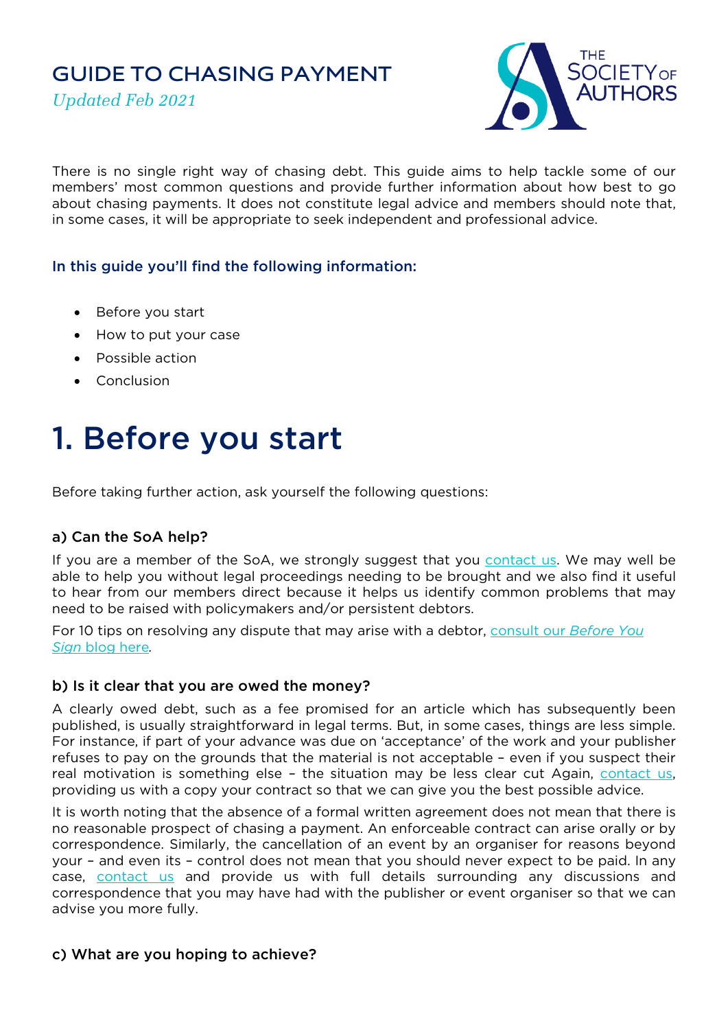# **GUIDE TO CHASING PAYMENT**

*Updated Feb 2021*



There is no single right way of chasing debt. This guide aims to help tackle some of our members' most common questions and provide further information about how best to go about chasing payments. It does not constitute legal advice and members should note that, in some cases, it will be appropriate to seek independent and professional advice.

## In this guide you'll find the following information:

- Before you start
- How to put your case
- Possible action
- Conclusion

# 1. Before you start

Before taking further action, ask yourself the following questions:

## a) Can the SoA help?

If you are a member of the SoA, we strongly suggest that you [contact us.](mailto:info@societyofauthors.org) We may well be able to help you without legal proceedings needing to be brought and we also find it useful to hear from our members direct because it helps us identify common problems that may need to be raised with policymakers and/or persistent debtors.

For 10 tips on resolving any dispute that may arise with a debtor, [consult our](https://www.societyofauthors.org/News/Blogs/Before-you-Sign/April-2020-(1)/Before-You-Sign-10-tips-for-sorting-your-dispute) *Before You [Sign](https://www.societyofauthors.org/News/Blogs/Before-you-Sign/April-2020-(1)/Before-You-Sign-10-tips-for-sorting-your-dispute)* blog here*.*

#### b) Is it clear that you are owed the money?

A clearly owed debt, such as a fee promised for an article which has subsequently been published, is usually straightforward in legal terms. But, in some cases, things are less simple. For instance, if part of your advance was due on 'acceptance' of the work and your publisher refuses to pay on the grounds that the material is not acceptable – even if you suspect their real motivation is something else – the situation may be less clear cut Again, [contact us,](mailto:info@societyofauthors.org) providing us with a copy your contract so that we can give you the best possible advice.

It is worth noting that the absence of a formal written agreement does not mean that there is no reasonable prospect of chasing a payment. An enforceable contract can arise orally or by correspondence. Similarly, the cancellation of an event by an organiser for reasons beyond your – and even its – control does not mean that you should never expect to be paid. In any case, [contact us](mailto:info@societyofauthors.org) and provide us with full details surrounding any discussions and correspondence that you may have had with the publisher or event organiser so that we can advise you more fully.

## c) What are you hoping to achieve?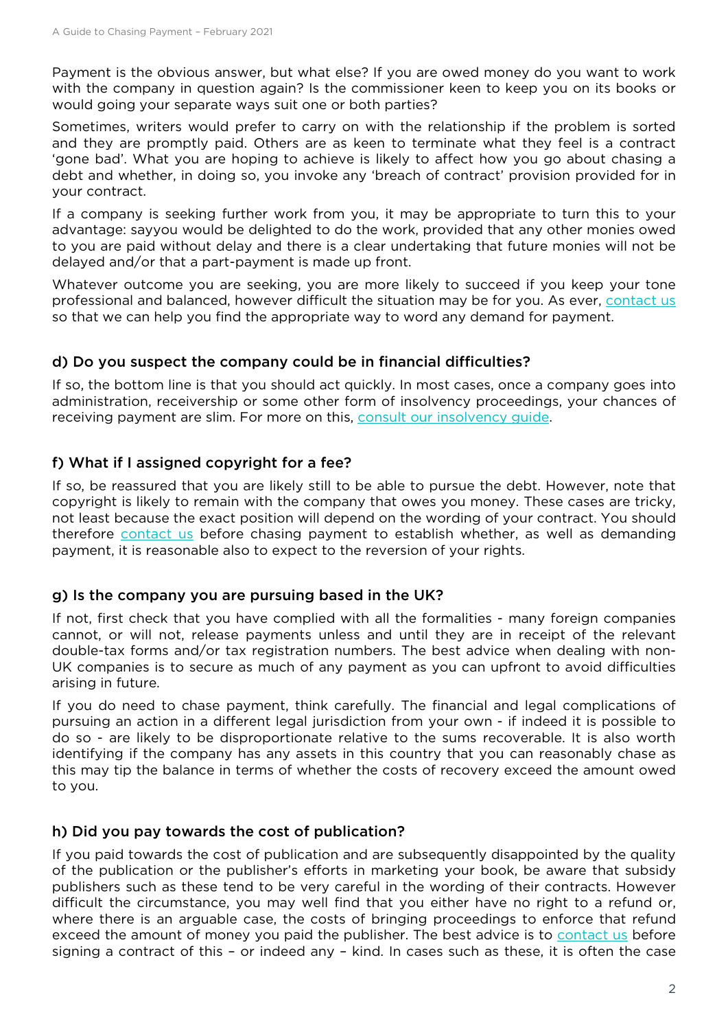Payment is the obvious answer, but what else? If you are owed money do you want to work with the company in question again? Is the commissioner keen to keep you on its books or would going your separate ways suit one or both parties?

Sometimes, writers would prefer to carry on with the relationship if the problem is sorted and they are promptly paid. Others are as keen to terminate what they feel is a contract 'gone bad'. What you are hoping to achieve is likely to affect how you go about chasing a debt and whether, in doing so, you invoke any 'breach of contract' provision provided for in your contract.

If a company is seeking further work from you, it may be appropriate to turn this to your advantage: sayyou would be delighted to do the work, provided that any other monies owed to you are paid without delay and there is a clear undertaking that future monies will not be delayed and/or that a part-payment is made up front.

Whatever outcome you are seeking, you are more likely to succeed if you keep your tone professional and balanced, however difficult the situation may be for you. As ever, [contact us](mailto:info@societyofauthors.org) so that we can help you find the appropriate way to word any demand for payment.

## d) Do you suspect the company could be in financial difficulties?

If so, the bottom line is that you should act quickly. In most cases, once a company goes into administration, receivership or some other form of insolvency proceedings, your chances of receiving payment are slim. For more on this, [consult our insolvency guide.](https://societyofauthors.org/getattachment/Advice/Guides/Your-rights-when-your-publisher-becomes-insolvent.pdf)

## f) What if I assigned copyright for a fee?

If so, be reassured that you are likely still to be able to pursue the debt. However, note that copyright is likely to remain with the company that owes you money. These cases are tricky, not least because the exact position will depend on the wording of your contract. You should therefore [contact us](mailto:info@societyofauthors.org) before chasing payment to establish whether, as well as demanding payment, it is reasonable also to expect to the reversion of your rights.

## g) Is the company you are pursuing based in the UK?

If not, first check that you have complied with all the formalities - many foreign companies cannot, or will not, release payments unless and until they are in receipt of the relevant double-tax forms and/or tax registration numbers. The best advice when dealing with non-UK companies is to secure as much of any payment as you can upfront to avoid difficulties arising in future.

If you do need to chase payment, think carefully. The financial and legal complications of pursuing an action in a different legal jurisdiction from your own - if indeed it is possible to do so - are likely to be disproportionate relative to the sums recoverable. It is also worth identifying if the company has any assets in this country that you can reasonably chase as this may tip the balance in terms of whether the costs of recovery exceed the amount owed to you.

## h) Did you pay towards the cost of publication?

If you paid towards the cost of publication and are subsequently disappointed by the quality of the publication or the publisher's efforts in marketing your book, be aware that subsidy publishers such as these tend to be very careful in the wording of their contracts. However difficult the circumstance, you may well find that you either have no right to a refund or, where there is an arguable case, the costs of bringing proceedings to enforce that refund exceed the amount of money you paid the publisher. The best advice is to [contact us](mailto:info@societyofauthors.org) before signing a contract of this – or indeed any – kind. In cases such as these, it is often the case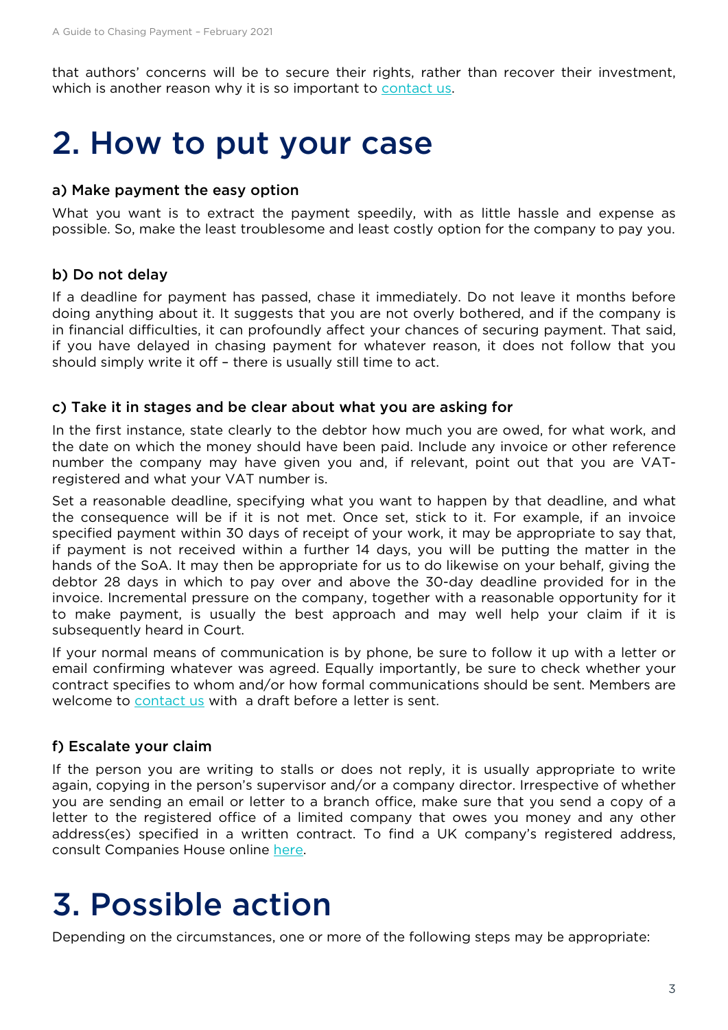that authors' concerns will be to secure their rights, rather than recover their investment, which is another reason why it is so important to [contact us.](mailto:info@societyofauthors.org)

## 2. How to put your case

#### a) Make payment the easy option

What you want is to extract the payment speedily, with as little hassle and expense as possible. So, make the least troublesome and least costly option for the company to pay you.

#### b) Do not delay

If a deadline for payment has passed, chase it immediately. Do not leave it months before doing anything about it. It suggests that you are not overly bothered, and if the company is in financial difficulties, it can profoundly affect your chances of securing payment. That said, if you have delayed in chasing payment for whatever reason, it does not follow that you should simply write it off – there is usually still time to act.

#### <span id="page-2-0"></span>c) Take it in stages and be clear about what you are asking for

In the first instance, state clearly to the debtor how much you are owed, for what work, and the date on which the money should have been paid. Include any invoice or other reference number the company may have given you and, if relevant, point out that you are VATregistered and what your VAT number is.

Set a reasonable deadline, specifying what you want to happen by that deadline, and what the consequence will be if it is not met. Once set, stick to it. For example, if an invoice specified payment within 30 days of receipt of your work, it may be appropriate to say that, if payment is not received within a further 14 days, you will be putting the matter in the hands of the SoA. It may then be appropriate for us to do likewise on your behalf, giving the debtor 28 days in which to pay over and above the 30-day deadline provided for in the invoice. Incremental pressure on the company, together with a reasonable opportunity for it to make payment, is usually the best approach and may well help your claim if it is subsequently heard in Court.

If your normal means of communication is by phone, be sure to follow it up with a letter or email confirming whatever was agreed. Equally importantly, be sure to check whether your contract specifies to whom and/or how formal communications should be sent. Members are welcome to [contact us](mailto:info@societyofauthors.org) with a draft before a letter is sent.

#### f) Escalate your claim

If the person you are writing to stalls or does not reply, it is usually appropriate to write again, copying in the person's supervisor and/or a company director. Irrespective of whether you are sending an email or letter to a branch office, make sure that you send a copy of a letter to the registered office of a limited company that owes you money and any other address(es) specified in a written contract. To find a UK company's registered address, consult Companies House online [here.](https://www.gov.uk/get-information-about-a-company)

## 3. Possible action

Depending on the circumstances, one or more of the following steps may be appropriate: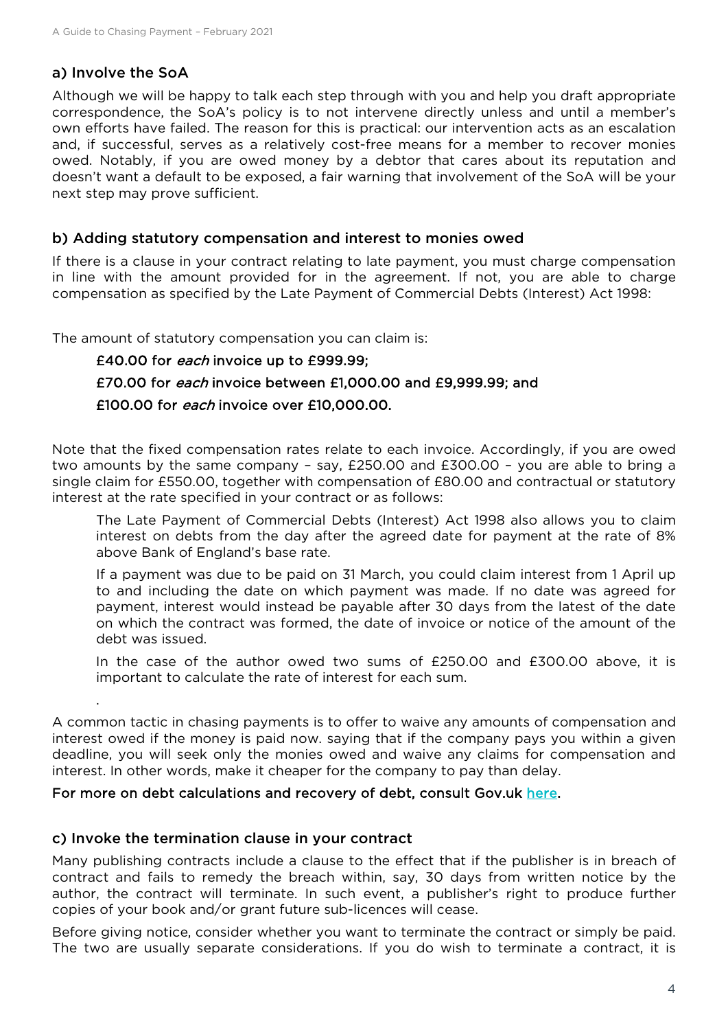#### a) Involve the SoA

.

Although we will be happy to talk each step through with you and help you draft appropriate correspondence, the SoA's policy is to not intervene directly unless and until a member's own efforts have failed. The reason for this is practical: our intervention acts as an escalation and, if successful, serves as a relatively cost-free means for a member to recover monies owed. Notably, if you are owed money by a debtor that cares about its reputation and doesn't want a default to be exposed, a fair warning that involvement of the SoA will be your next step may prove sufficient.

#### b) Adding statutory compensation and interest to monies owed

If there is a clause in your contract relating to late payment, you must charge compensation in line with the amount provided for in the agreement. If not, you are able to charge compensation as specified by the Late Payment of Commercial Debts (Interest) Act 1998:

The amount of statutory compensation you can claim is:

## £40.00 for each invoice up to £999.99; £70.00 for *each* invoice between £1,000.00 and £9,999.99; and £100.00 for each invoice over £10,000.00.

Note that the fixed compensation rates relate to each invoice. Accordingly, if you are owed two amounts by the same company – say, £250.00 and £300.00 – you are able to bring a single claim for £550.00, together with compensation of £80.00 and contractual or statutory interest at the rate specified in your contract or as follows:

The Late Payment of Commercial Debts (Interest) Act 1998 also allows you to claim interest on debts from the day after the agreed date for payment at the rate of 8% above Bank of England's base rate.

If a payment was due to be paid on 31 March, you could claim interest from 1 April up to and including the date on which payment was made. If no date was agreed for payment, interest would instead be payable after 30 days from the latest of the date on which the contract was formed, the date of invoice or notice of the amount of the debt was issued.

In the case of the author owed two sums of £250.00 and £300.00 above, it is important to calculate the rate of interest for each sum.

A common tactic in chasing payments is to offer to waive any amounts of compensation and interest owed if the money is paid now. saying that if the company pays you within a given deadline, you will seek only the monies owed and waive any claims for compensation and interest. In other words, make it cheaper for the company to pay than delay.

#### For more on debt calculations and recovery of debt, consult Gov.uk [here.](https://www.gov.uk/late-commercial-payments-interest-debt-recovery/charging-interest-commercial-debt)

#### c) Invoke the termination clause in your contract

Many publishing contracts include a clause to the effect that if the publisher is in breach of contract and fails to remedy the breach within, say, 30 days from written notice by the author, the contract will terminate. In such event, a publisher's right to produce further copies of your book and/or grant future sub-licences will cease.

Before giving notice, consider whether you want to terminate the contract or simply be paid. The two are usually separate considerations. If you do wish to terminate a contract, it is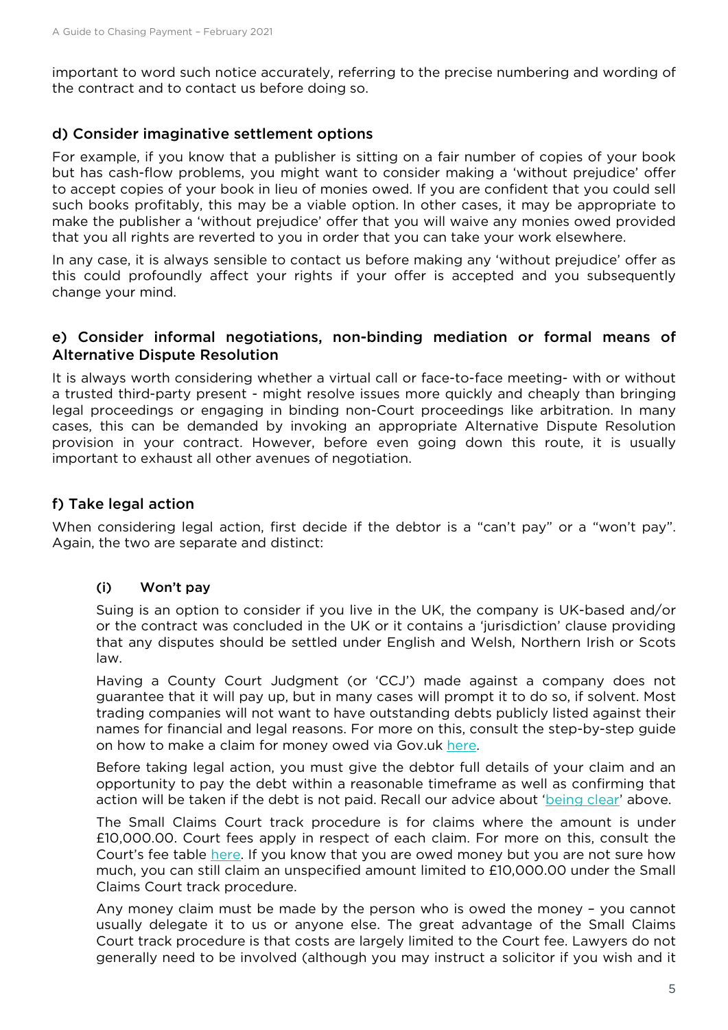important to word such notice accurately, referring to the precise numbering and wording of the contract and to contact us before doing so.

#### d) Consider imaginative settlement options

For example, if you know that a publisher is sitting on a fair number of copies of your book but has cash-flow problems, you might want to consider making a 'without prejudice' offer to accept copies of your book in lieu of monies owed. If you are confident that you could sell such books profitably, this may be a viable option. In other cases, it may be appropriate to make the publisher a 'without prejudice' offer that you will waive any monies owed provided that you all rights are reverted to you in order that you can take your work elsewhere.

In any case, it is always sensible to contact us before making any 'without prejudice' offer as this could profoundly affect your rights if your offer is accepted and you subsequently change your mind.

#### e) Consider informal negotiations, non-binding mediation or formal means of Alternative Dispute Resolution

It is always worth considering whether a virtual call or face-to-face meeting- with or without a trusted third-party present - might resolve issues more quickly and cheaply than bringing legal proceedings or engaging in binding non-Court proceedings like arbitration. In many cases, this can be demanded by invoking an appropriate Alternative Dispute Resolution provision in your contract. However, before even going down this route, it is usually important to exhaust all other avenues of negotiation.

#### f) Take legal action

When considering legal action, first decide if the debtor is a "can't pay" or a "won't pay". Again, the two are separate and distinct:

#### (i) Won't pay

Suing is an option to consider if you live in the UK, the company is UK-based and/or or the contract was concluded in the UK or it contains a 'jurisdiction' clause providing that any disputes should be settled under English and Welsh, Northern Irish or Scots law.

Having a County Court Judgment (or 'CCJ') made against a company does not guarantee that it will pay up, but in many cases will prompt it to do so, if solvent. Most trading companies will not want to have outstanding debts publicly listed against their names for financial and legal reasons. For more on this, consult the step-by-step guide on how to make a claim for money owed via Gov.uk here.

Before taking legal action, you must give the debtor full details of your claim and an opportunity to pay the debt within a reasonable timeframe as well as confirming that action will be taken if the debt is not paid. Recall our advice about ['being clear'](#page-2-0) above.

The Small Claims Court track procedure is for claims where the amount is under £10,000.00. Court fees apply in respect of each claim. For more on this, consult the Court's fee table [here.](https://www.gov.uk/make-court-claim-for-money/court-fees) If you know that you are owed money but you are not sure how much, you can still claim an unspecified amount limited to £10,000.00 under the Small Claims Court track procedure.

Any money claim must be made by the person who is owed the money – you cannot usually delegate it to us or anyone else. The great advantage of the Small Claims Court track procedure is that costs are largely limited to the Court fee. Lawyers do not generally need to be involved (although you may instruct a solicitor if you wish and it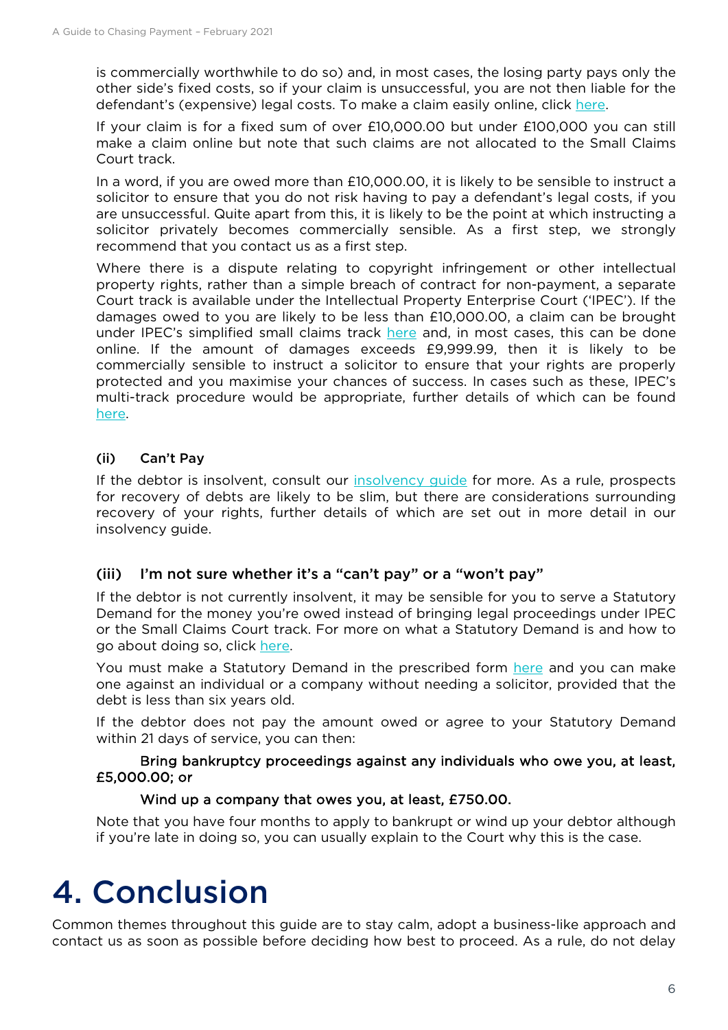is commercially worthwhile to do so) and, in most cases, the losing party pays only the other side's fixed costs, so if your claim is unsuccessful, you are not then liable for the defendant's (expensive) legal costs. To make a claim easily online, click [here.](https://www.gov.uk/make-money-claim)

If your claim is for a fixed sum of over £10,000.00 but under £100,000 you can still make a claim online but note that such claims are not allocated to the Small Claims Court track.

In a word, if you are owed more than £10,000.00, it is likely to be sensible to instruct a solicitor to ensure that you do not risk having to pay a defendant's legal costs, if you are unsuccessful. Quite apart from this, it is likely to be the point at which instructing a solicitor privately becomes commercially sensible. As a first step, we strongly recommend that you contact us as a first step.

Where there is a dispute relating to copyright infringement or other intellectual property rights, rather than a simple breach of contract for non-payment, a separate Court track is available under the Intellectual Property Enterprise Court ('IPEC'). If the damages owed to you are likely to be less than £10,000.00, a claim can be brought under IPEC's simplified small claims track [here](https://www.gov.uk/government/publications/intellectual-property-enterprise-court-a-guide-to-small-claims) and, in most cases, this can be done online. If the amount of damages exceeds £9,999.99, then it is likely to be commercially sensible to instruct a solicitor to ensure that your rights are properly protected and you maximise your chances of success. In cases such as these, IPEC's multi-track procedure would be appropriate, further details of which can be found [here.](https://assets.publishing.service.gov.uk/government/uploads/system/uploads/attachment_data/file/823201/intellectual-property-enterprise-guide.pdf)

### (ii) Can't Pay

If the debtor is insolvent, consult our [insolvency guide](https://societyofauthors.org/getattachment/Advice/Guides/Your-rights-when-your-publisher-becomes-insolvent.pdf) for more. As a rule, prospects for recovery of debts are likely to be slim, but there are considerations surrounding recovery of your rights, further details of which are set out in more detail in our insolvency guide.

#### (iii) I'm not sure whether it's a "can't pay" or a "won't pay"

If the debtor is not currently insolvent, it may be sensible for you to serve a Statutory Demand for the money you're owed instead of bringing legal proceedings under IPEC or the Small Claims Court track. For more on what a Statutory Demand is and how to go about doing so, click [here.](https://www.gov.uk/statutory-demands)

You must make a Statutory Demand in the prescribed form [here](https://www.gov.uk/government/publications/demand-immediate-payment-of-a-debt-from-a-limited-company-form-sd1) and you can make one against an individual or a company without needing a solicitor, provided that the debt is less than six years old.

If the debtor does not pay the amount owed or agree to your Statutory Demand within 21 days of service, you can then:

#### Bring bankruptcy proceedings against any individuals who owe you, at least, £5,000.00; or

#### Wind up a company that owes you, at least, £750.00.

Note that you have four months to apply to bankrupt or wind up your debtor although if you're late in doing so, you can usually explain to the Court why this is the case.

## 4. Conclusion

Common themes throughout this guide are to stay calm, adopt a business-like approach and contact us as soon as possible before deciding how best to proceed. As a rule, do not delay